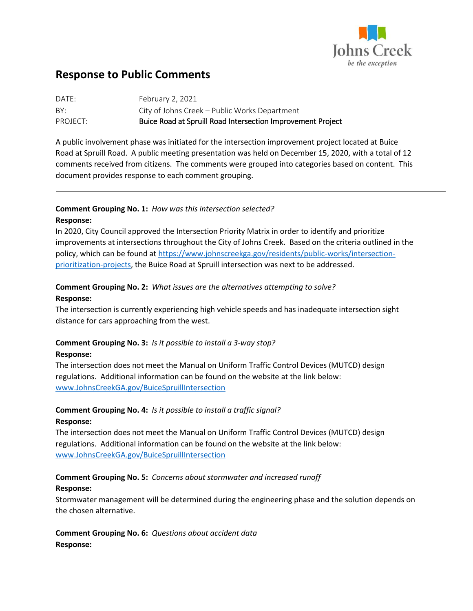

# **Response to Public Comments**

| DATE:    | February 2, 2021                                            |
|----------|-------------------------------------------------------------|
| BY:      | City of Johns Creek - Public Works Department               |
| PROJECT: | Buice Road at Spruill Road Intersection Improvement Project |

A public involvement phase was initiated for the intersection improvement project located at Buice Road at Spruill Road. A public meeting presentation was held on December 15, 2020, with a total of 12 comments received from citizens. The comments were grouped into categories based on content. This document provides response to each comment grouping.

## **Comment Grouping No. 1:** *How was this intersection selected?* **Response:**

In 2020, City Council approved the Intersection Priority Matrix in order to identify and prioritize improvements at intersections throughout the City of Johns Creek. Based on the criteria outlined in the policy, which can be found at [https://www.johnscreekga.gov/residents/public-works/intersection](https://www.johnscreekga.gov/residents/public-works/intersection-prioritization-projects)[prioritization-projects,](https://www.johnscreekga.gov/residents/public-works/intersection-prioritization-projects) the Buice Road at Spruill intersection was next to be addressed.

# **Comment Grouping No. 2:** *What issues are the alternatives attempting to solve?* **Response:**

The intersection is currently experiencing high vehicle speeds and has inadequate intersection sight distance for cars approaching from the west.

# **Comment Grouping No. 3:** *Is it possible to install a 3-way stop?*

#### **Response:**

The intersection does not meet the Manual on Uniform Traffic Control Devices (MUTCD) design regulations. Additional information can be found on the website at the link below: [www.JohnsCreekGA.gov/BuiceSpruillIntersection](http://www.johnscreekga.gov/BuiceSpruillIntersection)

#### **Comment Grouping No. 4:** *Is it possible to install a traffic signal?* **Response:**

The intersection does not meet the Manual on Uniform Traffic Control Devices (MUTCD) design regulations. Additional information can be found on the website at the link below: [www.JohnsCreekGA.gov/BuiceSpruillIntersection](http://www.johnscreekga.gov/BuiceSpruillIntersection)

#### **Comment Grouping No. 5:** *Concerns about stormwater and increased runoff* **Response:**

Stormwater management will be determined during the engineering phase and the solution depends on the chosen alternative.

**Comment Grouping No. 6:** *Questions about accident data* **Response:**